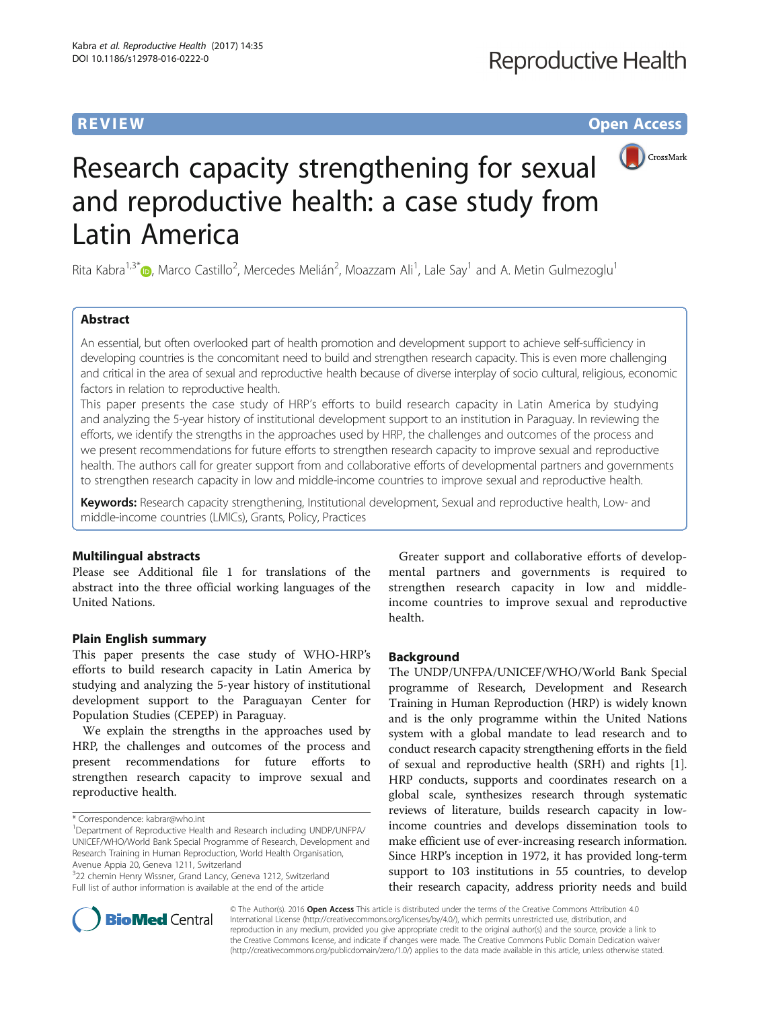**REVIEW CONSTRUCTION CONSTRUCTION CONSTRUCTS** 



# Research capacity strengthening for sexual and reproductive health: a case study from Latin America

Rita Kabra<sup>1[,](http://orcid.org/0000-0001-6595-2035)3\*</sup>�, Marco Castillo<sup>2</sup>, Mercedes Melián<sup>2</sup>, Moazzam Ali<sup>1</sup>, Lale Say<sup>1</sup> and A. Metin Gulmezoglu<sup>1</sup>

# Abstract

An essential, but often overlooked part of health promotion and development support to achieve self-sufficiency in developing countries is the concomitant need to build and strengthen research capacity. This is even more challenging and critical in the area of sexual and reproductive health because of diverse interplay of socio cultural, religious, economic factors in relation to reproductive health.

This paper presents the case study of HRP's efforts to build research capacity in Latin America by studying and analyzing the 5-year history of institutional development support to an institution in Paraguay. In reviewing the efforts, we identify the strengths in the approaches used by HRP, the challenges and outcomes of the process and we present recommendations for future efforts to strengthen research capacity to improve sexual and reproductive health. The authors call for greater support from and collaborative efforts of developmental partners and governments to strengthen research capacity in low and middle-income countries to improve sexual and reproductive health.

Keywords: Research capacity strengthening, Institutional development, Sexual and reproductive health, Low- and middle-income countries (LMICs), Grants, Policy, Practices

# Multilingual abstracts

Please see Additional file [1](#page-4-0) for translations of the abstract into the three official working languages of the United Nations.

# Plain English summary

This paper presents the case study of WHO-HRP's efforts to build research capacity in Latin America by studying and analyzing the 5-year history of institutional development support to the Paraguayan Center for Population Studies (CEPEP) in Paraguay.

We explain the strengths in the approaches used by HRP, the challenges and outcomes of the process and present recommendations for future efforts to strengthen research capacity to improve sexual and reproductive health.

<sup>3</sup>22 chemin Henry Wissner, Grand Lancy, Geneva 1212, Switzerland Full list of author information is available at the end of the article

Greater support and collaborative efforts of developmental partners and governments is required to strengthen research capacity in low and middleincome countries to improve sexual and reproductive health.

# Background

The UNDP/UNFPA/UNICEF/WHO/World Bank Special programme of Research, Development and Research Training in Human Reproduction (HRP) is widely known and is the only programme within the United Nations system with a global mandate to lead research and to conduct research capacity strengthening efforts in the field of sexual and reproductive health (SRH) and rights [[1](#page-4-0)]. HRP conducts, supports and coordinates research on a global scale, synthesizes research through systematic reviews of literature, builds research capacity in lowincome countries and develops dissemination tools to make efficient use of ever-increasing research information. Since HRP's inception in 1972, it has provided long-term support to 103 institutions in 55 countries, to develop their research capacity, address priority needs and build



© The Author(s). 2016 Open Access This article is distributed under the terms of the Creative Commons Attribution 4.0 International License [\(http://creativecommons.org/licenses/by/4.0/](http://creativecommons.org/licenses/by/4.0/)), which permits unrestricted use, distribution, and reproduction in any medium, provided you give appropriate credit to the original author(s) and the source, provide a link to the Creative Commons license, and indicate if changes were made. The Creative Commons Public Domain Dedication waiver [\(http://creativecommons.org/publicdomain/zero/1.0/](http://creativecommons.org/publicdomain/zero/1.0/)) applies to the data made available in this article, unless otherwise stated.

<sup>\*</sup> Correspondence: [kabrar@who.int](mailto:kabrar@who.int) <sup>1</sup>

Department of Reproductive Health and Research including UNDP/UNFPA/ UNICEF/WHO/World Bank Special Programme of Research, Development and Research Training in Human Reproduction, World Health Organisation, Avenue Appia 20, Geneva 1211, Switzerland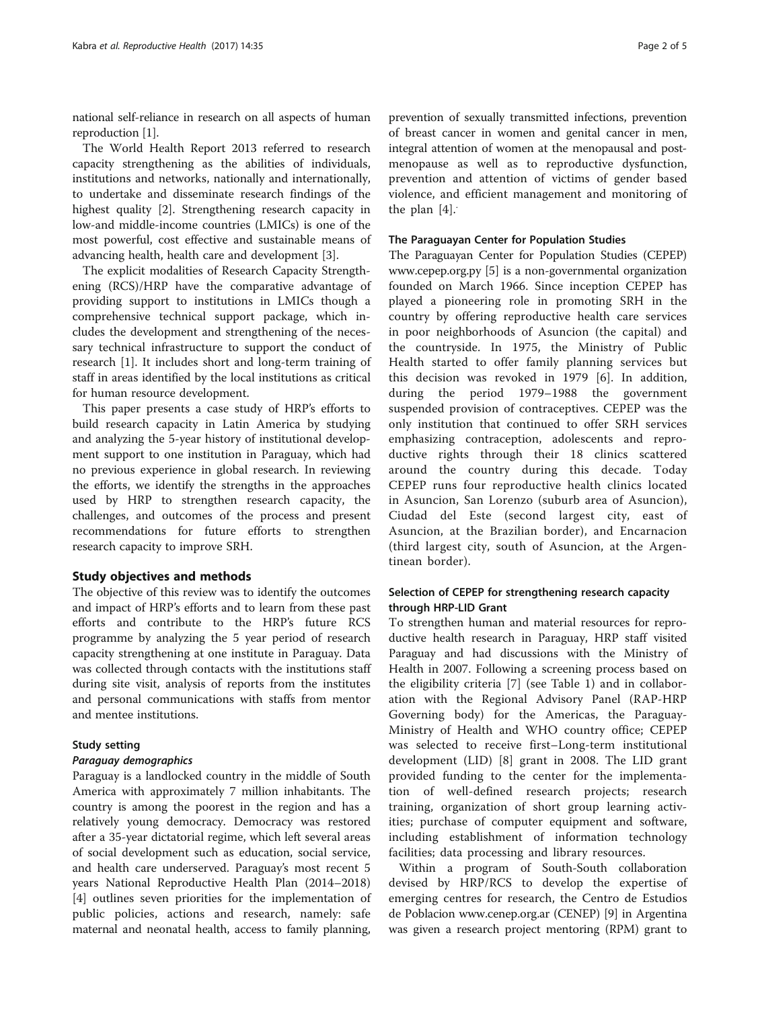national self-reliance in research on all aspects of human reproduction [[1](#page-4-0)].

The World Health Report 2013 referred to research capacity strengthening as the abilities of individuals, institutions and networks, nationally and internationally, to undertake and disseminate research findings of the highest quality [\[2](#page-4-0)]. Strengthening research capacity in low-and middle-income countries (LMICs) is one of the most powerful, cost effective and sustainable means of advancing health, health care and development [[3](#page-4-0)].

The explicit modalities of Research Capacity Strengthening (RCS)/HRP have the comparative advantage of providing support to institutions in LMICs though a comprehensive technical support package, which includes the development and strengthening of the necessary technical infrastructure to support the conduct of research [[1\]](#page-4-0). It includes short and long-term training of staff in areas identified by the local institutions as critical for human resource development.

This paper presents a case study of HRP's efforts to build research capacity in Latin America by studying and analyzing the 5-year history of institutional development support to one institution in Paraguay, which had no previous experience in global research. In reviewing the efforts, we identify the strengths in the approaches used by HRP to strengthen research capacity, the challenges, and outcomes of the process and present recommendations for future efforts to strengthen research capacity to improve SRH.

# Study objectives and methods

The objective of this review was to identify the outcomes and impact of HRP's efforts and to learn from these past efforts and contribute to the HRP's future RCS programme by analyzing the 5 year period of research capacity strengthening at one institute in Paraguay. Data was collected through contacts with the institutions staff during site visit, analysis of reports from the institutes and personal communications with staffs from mentor and mentee institutions.

### Study setting

#### Paraguay demographics

Paraguay is a landlocked country in the middle of South America with approximately 7 million inhabitants. The country is among the poorest in the region and has a relatively young democracy. Democracy was restored after a 35-year dictatorial regime, which left several areas of social development such as education, social service, and health care underserved. Paraguay's most recent 5 years National Reproductive Health Plan (2014–2018) [[4\]](#page-4-0) outlines seven priorities for the implementation of public policies, actions and research, namely: safe maternal and neonatal health, access to family planning,

prevention of sexually transmitted infections, prevention of breast cancer in women and genital cancer in men, integral attention of women at the menopausal and postmenopause as well as to reproductive dysfunction, prevention and attention of victims of gender based violence, and efficient management and monitoring of the plan  $[4]$  $[4]$ .

#### The Paraguayan Center for Population Studies

The Paraguayan Center for Population Studies (CEPEP) [www.cepep.org.py](http://www.cepep.org.py) [\[5](#page-4-0)] is a non-governmental organization founded on March 1966. Since inception CEPEP has played a pioneering role in promoting SRH in the country by offering reproductive health care services in poor neighborhoods of Asuncion (the capital) and the countryside. In 1975, the Ministry of Public Health started to offer family planning services but this decision was revoked in 1979 [\[6](#page-4-0)]. In addition, during the period 1979–1988 the government suspended provision of contraceptives. CEPEP was the only institution that continued to offer SRH services emphasizing contraception, adolescents and reproductive rights through their 18 clinics scattered around the country during this decade. Today CEPEP runs four reproductive health clinics located in Asuncion, San Lorenzo (suburb area of Asuncion), Ciudad del Este (second largest city, east of Asuncion, at the Brazilian border), and Encarnacion (third largest city, south of Asuncion, at the Argentinean border).

# Selection of CEPEP for strengthening research capacity through HRP-LID Grant

To strengthen human and material resources for reproductive health research in Paraguay, HRP staff visited Paraguay and had discussions with the Ministry of Health in 2007. Following a screening process based on the eligibility criteria [\[7](#page-4-0)] (see Table [1](#page-2-0)) and in collaboration with the Regional Advisory Panel (RAP-HRP Governing body) for the Americas, the Paraguay-Ministry of Health and WHO country office; CEPEP was selected to receive first–Long-term institutional development (LID) [\[8](#page-4-0)] grant in 2008. The LID grant provided funding to the center for the implementation of well-defined research projects; research training, organization of short group learning activities; purchase of computer equipment and software, including establishment of information technology facilities; data processing and library resources.

Within a program of South-South collaboration devised by HRP/RCS to develop the expertise of emerging centres for research, the Centro de Estudios de Poblacion [www.cenep.org.ar](http://www.cenep.org.ar) (CENEP) [[9](#page-4-0)] in Argentina was given a research project mentoring (RPM) grant to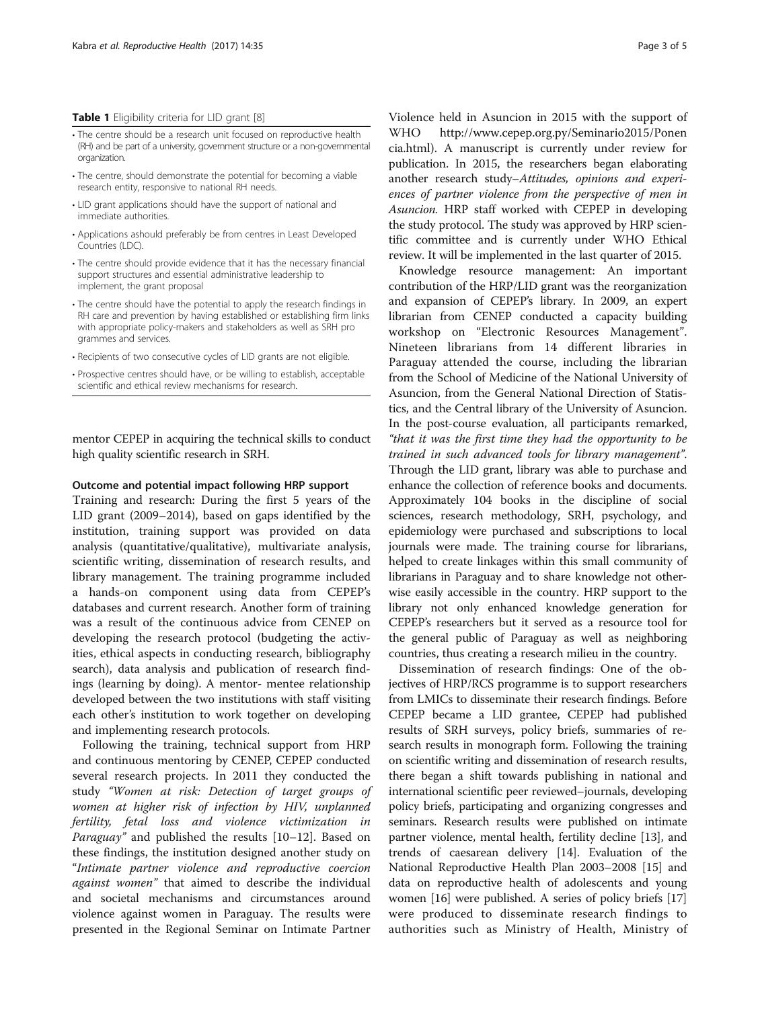#### <span id="page-2-0"></span>Table 1 Eligibility criteria for LID grant [\[8](#page-4-0)]

- The centre should be a research unit focused on reproductive health (RH) and be part of a university, government structure or a non-governmental organization.
- The centre, should demonstrate the potential for becoming a viable research entity, responsive to national RH needs.
- LID grant applications should have the support of national and immediate authorities.
- Applications ashould preferably be from centres in Least Developed Countries (LDC).
- The centre should provide evidence that it has the necessary financial support structures and essential administrative leadership to implement, the grant proposal
- The centre should have the potential to apply the research findings in RH care and prevention by having established or establishing firm links with appropriate policy-makers and stakeholders as well as SRH pro grammes and services.
- Recipients of two consecutive cycles of LID grants are not eligible.
- Prospective centres should have, or be willing to establish, acceptable scientific and ethical review mechanisms for research.

mentor CEPEP in acquiring the technical skills to conduct high quality scientific research in SRH.

#### Outcome and potential impact following HRP support

Training and research: During the first 5 years of the LID grant (2009–2014), based on gaps identified by the institution, training support was provided on data analysis (quantitative/qualitative), multivariate analysis, scientific writing, dissemination of research results, and library management. The training programme included a hands-on component using data from CEPEP's databases and current research. Another form of training was a result of the continuous advice from CENEP on developing the research protocol (budgeting the activities, ethical aspects in conducting research, bibliography search), data analysis and publication of research findings (learning by doing). A mentor- mentee relationship developed between the two institutions with staff visiting each other's institution to work together on developing and implementing research protocols.

Following the training, technical support from HRP and continuous mentoring by CENEP, CEPEP conducted several research projects. In 2011 they conducted the study "Women at risk: Detection of target groups of women at higher risk of infection by HIV, unplanned fertility, fetal loss and violence victimization in Paraguay" and published the results [[10](#page-4-0)–[12](#page-4-0)]. Based on these findings, the institution designed another study on "Intimate partner violence and reproductive coercion against women" that aimed to describe the individual and societal mechanisms and circumstances around violence against women in Paraguay. The results were presented in the Regional Seminar on Intimate Partner

Violence held in Asuncion in 2015 with the support of WHO [http://www.cepep.org.py/Seminario2015/Ponen](http://www.cepep.org.py/Seminario2015/Ponencia.html) [cia.html](http://www.cepep.org.py/Seminario2015/Ponencia.html)). A manuscript is currently under review for publication. In 2015, the researchers began elaborating another research study–Attitudes, opinions and experiences of partner violence from the perspective of men in Asuncion. HRP staff worked with CEPEP in developing the study protocol. The study was approved by HRP scientific committee and is currently under WHO Ethical review. It will be implemented in the last quarter of 2015.

Knowledge resource management: An important contribution of the HRP/LID grant was the reorganization and expansion of CEPEP's library. In 2009, an expert librarian from CENEP conducted a capacity building workshop on "Electronic Resources Management". Nineteen librarians from 14 different libraries in Paraguay attended the course, including the librarian from the School of Medicine of the National University of Asuncion, from the General National Direction of Statistics, and the Central library of the University of Asuncion. In the post-course evaluation, all participants remarked, "that it was the first time they had the opportunity to be trained in such advanced tools for library management". Through the LID grant, library was able to purchase and enhance the collection of reference books and documents. Approximately 104 books in the discipline of social sciences, research methodology, SRH, psychology, and epidemiology were purchased and subscriptions to local journals were made. The training course for librarians, helped to create linkages within this small community of librarians in Paraguay and to share knowledge not otherwise easily accessible in the country. HRP support to the library not only enhanced knowledge generation for CEPEP's researchers but it served as a resource tool for the general public of Paraguay as well as neighboring countries, thus creating a research milieu in the country.

Dissemination of research findings: One of the objectives of HRP/RCS programme is to support researchers from LMICs to disseminate their research findings. Before CEPEP became a LID grantee, CEPEP had published results of SRH surveys, policy briefs, summaries of research results in monograph form. Following the training on scientific writing and dissemination of research results, there began a shift towards publishing in national and international scientific peer reviewed–journals, developing policy briefs, participating and organizing congresses and seminars. Research results were published on intimate partner violence, mental health, fertility decline [\[13\]](#page-4-0), and trends of caesarean delivery [\[14](#page-4-0)]. Evaluation of the National Reproductive Health Plan 2003–2008 [\[15](#page-4-0)] and data on reproductive health of adolescents and young women [[16](#page-4-0)] were published. A series of policy briefs [[17](#page-4-0)] were produced to disseminate research findings to authorities such as Ministry of Health, Ministry of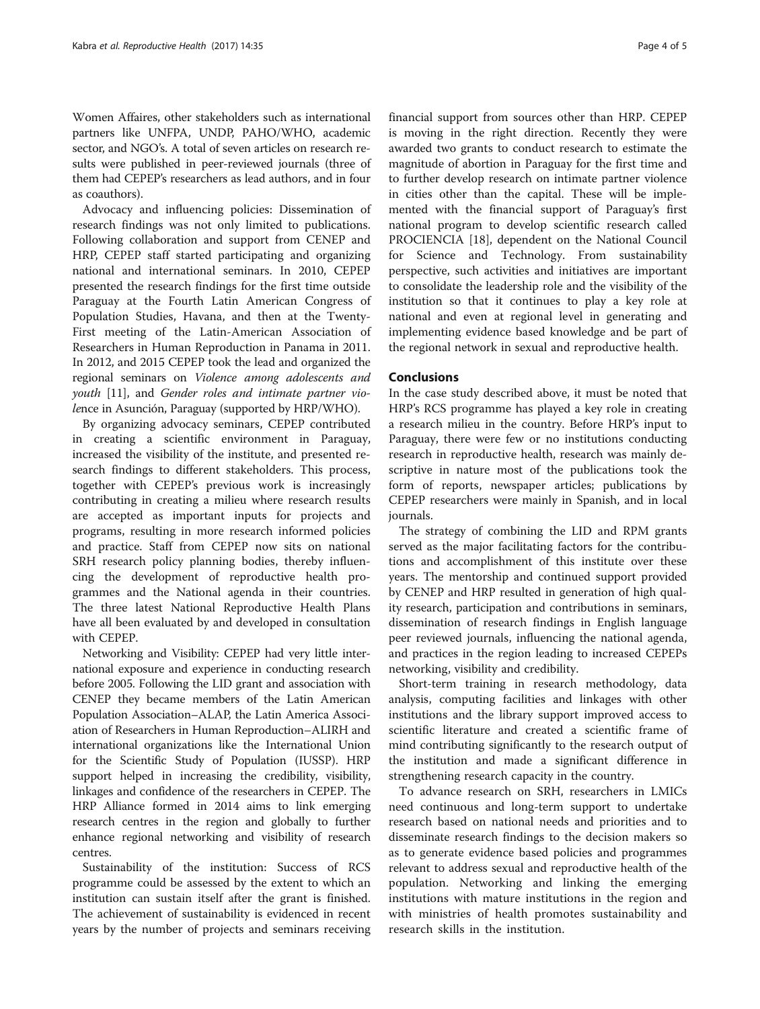Women Affaires, other stakeholders such as international partners like UNFPA, UNDP, PAHO/WHO, academic sector, and NGO's. A total of seven articles on research results were published in peer-reviewed journals (three of them had CEPEP's researchers as lead authors, and in four as coauthors).

Advocacy and influencing policies: Dissemination of research findings was not only limited to publications. Following collaboration and support from CENEP and HRP, CEPEP staff started participating and organizing national and international seminars. In 2010, CEPEP presented the research findings for the first time outside Paraguay at the Fourth Latin American Congress of Population Studies, Havana, and then at the Twenty-First meeting of the Latin-American Association of Researchers in Human Reproduction in Panama in 2011. In 2012, and 2015 CEPEP took the lead and organized the regional seminars on Violence among adolescents and youth [[11](#page-4-0)], and Gender roles and intimate partner violence in Asunción, Paraguay (supported by HRP/WHO).

By organizing advocacy seminars, CEPEP contributed in creating a scientific environment in Paraguay, increased the visibility of the institute, and presented research findings to different stakeholders. This process, together with CEPEP's previous work is increasingly contributing in creating a milieu where research results are accepted as important inputs for projects and programs, resulting in more research informed policies and practice. Staff from CEPEP now sits on national SRH research policy planning bodies, thereby influencing the development of reproductive health programmes and the National agenda in their countries. The three latest National Reproductive Health Plans have all been evaluated by and developed in consultation with CEPEP.

Networking and Visibility: CEPEP had very little international exposure and experience in conducting research before 2005. Following the LID grant and association with CENEP they became members of the Latin American Population Association–ALAP, the Latin America Association of Researchers in Human Reproduction–ALIRH and international organizations like the International Union for the Scientific Study of Population (IUSSP). HRP support helped in increasing the credibility, visibility, linkages and confidence of the researchers in CEPEP. The HRP Alliance formed in 2014 aims to link emerging research centres in the region and globally to further enhance regional networking and visibility of research centres.

Sustainability of the institution: Success of RCS programme could be assessed by the extent to which an institution can sustain itself after the grant is finished. The achievement of sustainability is evidenced in recent years by the number of projects and seminars receiving

financial support from sources other than HRP. CEPEP is moving in the right direction. Recently they were awarded two grants to conduct research to estimate the magnitude of abortion in Paraguay for the first time and to further develop research on intimate partner violence in cities other than the capital. These will be implemented with the financial support of Paraguay's first national program to develop scientific research called PROCIENCIA [[18\]](#page-4-0), dependent on the National Council for Science and Technology. From sustainability perspective, such activities and initiatives are important to consolidate the leadership role and the visibility of the institution so that it continues to play a key role at national and even at regional level in generating and implementing evidence based knowledge and be part of the regional network in sexual and reproductive health.

# Conclusions

In the case study described above, it must be noted that HRP's RCS programme has played a key role in creating a research milieu in the country. Before HRP's input to Paraguay, there were few or no institutions conducting research in reproductive health, research was mainly descriptive in nature most of the publications took the form of reports, newspaper articles; publications by CEPEP researchers were mainly in Spanish, and in local journals.

The strategy of combining the LID and RPM grants served as the major facilitating factors for the contributions and accomplishment of this institute over these years. The mentorship and continued support provided by CENEP and HRP resulted in generation of high quality research, participation and contributions in seminars, dissemination of research findings in English language peer reviewed journals, influencing the national agenda, and practices in the region leading to increased CEPEPs networking, visibility and credibility.

Short-term training in research methodology, data analysis, computing facilities and linkages with other institutions and the library support improved access to scientific literature and created a scientific frame of mind contributing significantly to the research output of the institution and made a significant difference in strengthening research capacity in the country.

To advance research on SRH, researchers in LMICs need continuous and long-term support to undertake research based on national needs and priorities and to disseminate research findings to the decision makers so as to generate evidence based policies and programmes relevant to address sexual and reproductive health of the population. Networking and linking the emerging institutions with mature institutions in the region and with ministries of health promotes sustainability and research skills in the institution.